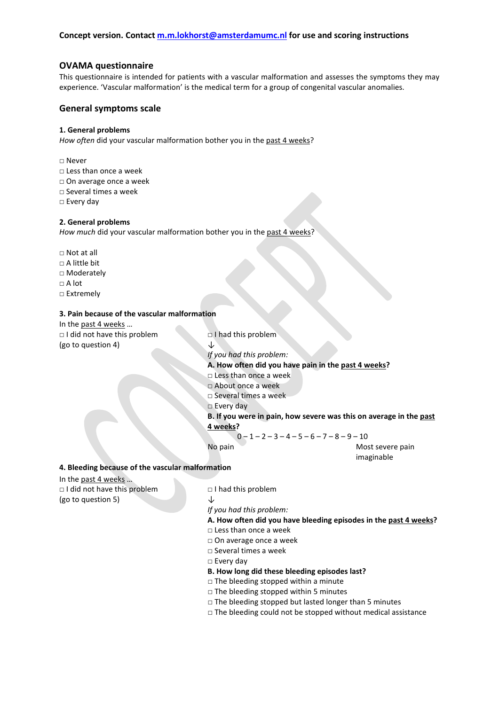## **OVAMA questionnaire**

This questionnaire is intended for patients with a vascular malformation and assesses the symptoms they may experience. 'Vascular malformation' is the medical term for a group of congenital vascular anomalies.

## **General symptoms scale**

### **1. General problems**

How often did your vascular malformation bother you in the past 4 weeks?

## □ Never

- □ Less than once a week
- □ On average once a week
- □ Several times a week
- □ Every day

### **2. General problems**

*How much* did your vascular malformation bother you in the past 4 weeks?

- □ Not at all
- $\Box$  A little bit
- □ Moderately
- □ A lot
- □ Extremely

#### **3. Pain because of the vascular malformation**

In the past 4 weeks … □ I did not have this problem □ I had this problem (go to question 4)  $\downarrow$ 

*If you had this problem:*

**A. How often did you have pain in the past 4 weeks?**

- □ Less than once a week
- □ About once a week
- □ Several times a week
- □ Every day

**B. If you were in pain, how severe was this on average in the past 4 weeks?**

 $0 - 1 - 2 - 3 - 4 - 5 - 6 - 7 - 8 - 9 - 10$ 

No pain Most severe pain imaginable

#### **4. Bleeding because of the vascular malformation**

In the past 4 weeks … □ I did not have this problem □ I had this problem (go to question 5)  $\downarrow$ 

*If you had this problem:*

- **A. How often did you have bleeding episodes in the past 4 weeks?**
- **□** Less than once a week
- □ On average once a week
- □ Several times a week
- □ Every day
- **B. How long did these bleeding episodes last?**
- □ The bleeding stopped within a minute
- $\Box$  The bleeding stopped within 5 minutes
- $\Box$  The bleeding stopped but lasted longer than 5 minutes
- $\Box$  The bleeding could not be stopped without medical assistance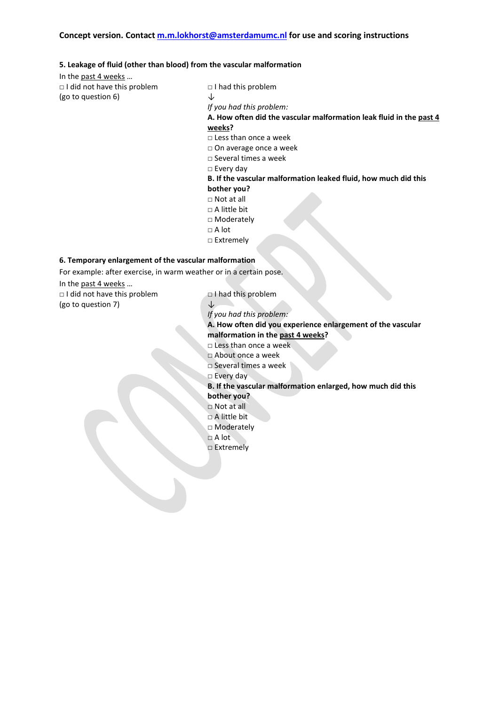#### **5. Leakage of fluid (other than blood) from the vascular malformation**

In the past 4 weeks …

□ I did not have this problem □ I had this problem (go to question 6)  $\downarrow$ 

*If you had this problem:* **A. How often did the vascular malformation leak fluid in the past 4 weeks?** □ Less than once a week □ On average once a week □ Several times a week □ Every day **B. If the vascular malformation leaked fluid, how much did this bother you?**  □ Not at all □ A little bit

- 
- □ Moderately
- □ A lot
- □ Extremely

## **6. Temporary enlargement of the vascular malformation**

For example: after exercise, in warm weather or in a certain pose. In the past 4 weeks …

□ I did not have this problem □ I had this problem (go to question 7)  $\downarrow$ 

*If you had this problem:*

**A. How often did you experience enlargement of the vascular malformation in the past 4 weeks?**

- □ Less than once a week
- □ About once a week
- □ Several times a week
- □ Every day
- **B. If the vascular malformation enlarged, how much did this**

# **bother you?**

- □ Not at all
- □ A little bit □ Moderately
- □ A lot
- □ Extremely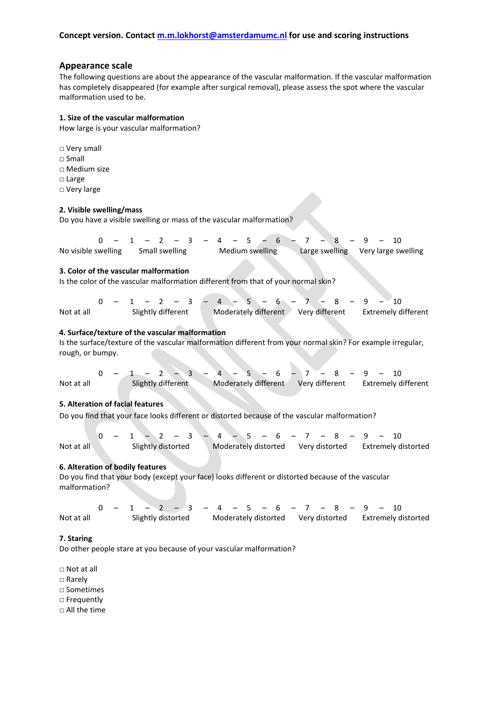### **Appearance scale**

The following questions are about the appearance of the vascular malformation. If the vascular malformation has completely disappeared (for example after surgical removal), please assess the spot where the vascular malformation used to be.

#### **1. Size of the vascular malformation**

How large is your vascular malformation?

□ Very small □ Small □ Medium size □ Large □ Very large

#### **2. Visible swelling/mass**

Do you have a visible swelling or mass of the vascular malformation?

 $0 - 1 - 2 - 3 - 4 - 5 - 6 - 7 - 8 - 9 - 10$ No visible swelling Small swelling Medium swelling Large swelling Very large swelling

### **3. Color of the vascular malformation**

Is the color of the vascular malformation different from that of your normal skin?

|            |                    |  |  |  |  |                                                         |  |  |  |  |  |  |  |  |  |  |  |  | $0 - 1 - 2 - 3 - 4 - 5 - 6 - 7 - 8 - 9 - 10$ |  |  |
|------------|--------------------|--|--|--|--|---------------------------------------------------------|--|--|--|--|--|--|--|--|--|--|--|--|----------------------------------------------|--|--|
| Not at all | Slightly different |  |  |  |  | Moderately different Very different Extremely different |  |  |  |  |  |  |  |  |  |  |  |  |                                              |  |  |

#### **4. Surface/texture of the vascular malformation**

Is the surface/texture of the vascular malformation different from your normal skin? For example irregular, rough, or bumpy.

 $0 - 1 - 2 - 3 - 4 - 5 - 6 - 7 - 8 - 9 - 10$ Not at all Slightly different Moderately different Very different Extremely different

#### **5. Alteration of facial features**

Do you find that your face looks different or distorted because of the vascular malformation?

 $0 - 1 - 2 - 3 - 4 - 5 - 6 - 7 - 8 - 9 - 10$ Not at all Slightly distorted Moderately distorted Very distorted Extremely distorted

## **6. Alteration of bodily features**

Do you find that your body (except your face) looks different or distorted because of the vascular malformation?

 0 – 1 – 2 – 3 – 4 – 5 – 6 – 7 – 8 – 9 – 10 Not at all Slightly distorted Moderately distorted Very distorted Extremely distorted

#### **7. Staring**

Do other people stare at you because of your vascular malformation?

□ Not at all

□ Rarely

□ Sometimes

□ Frequently

□ All the time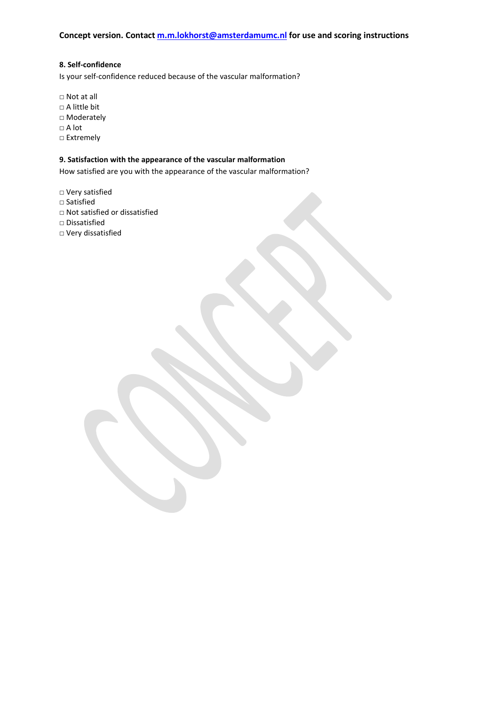## **8. Self-confidence**

Is your self-confidence reduced because of the vascular malformation?

□ Not at all □ A little bit □ Moderately □ A lot □ Extremely

## **9. Satisfaction with the appearance of the vascular malformation**

How satisfied are you with the appearance of the vascular malformation?

□ Very satisfied

- □ Satisfied
- □ Not satisfied or dissatisfied
- □ Dissatisfied
- □ Very dissatisfied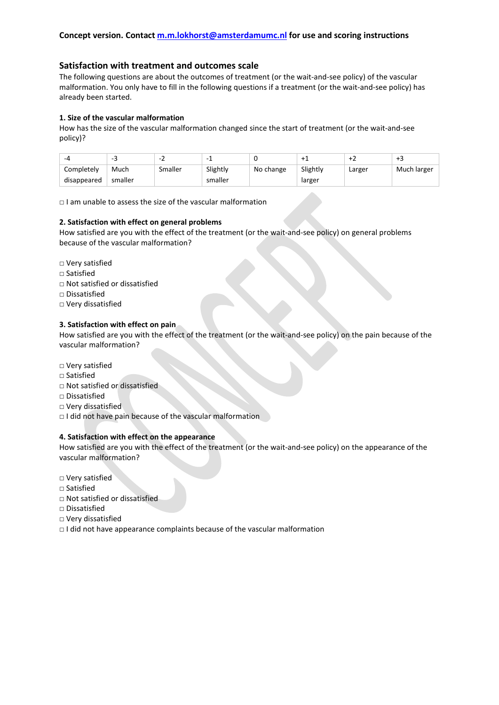## **Satisfaction with treatment and outcomes scale**

The following questions are about the outcomes of treatment (or the wait-and-see policy) of the vascular malformation. You only have to fill in the following questions if a treatment (or the wait-and-see policy) has already been started.

### **1. Size of the vascular malformation**

How has the size of the vascular malformation changed since the start of treatment (or the wait-and-see policy)?

| $\overline{\phantom{a}}$ |         | -       |          | u         |          |        |             |
|--------------------------|---------|---------|----------|-----------|----------|--------|-------------|
| Completelv               | Much    | Smaller | Slightly | No change | Slightly | Larger | Much larger |
| disappeared              | smaller |         | smaller  |           | larger   |        |             |

□ I am unable to assess the size of the vascular malformation

### **2. Satisfaction with effect on general problems**

How satisfied are you with the effect of the treatment (or the wait-and-see policy) on general problems because of the vascular malformation?

- □ Very satisfied
- □ Satisfied
- □ Not satisfied or dissatisfied
- □ Dissatisfied
- □ Very dissatisfied

### **3. Satisfaction with effect on pain**

How satisfied are you with the effect of the treatment (or the wait-and-see policy) on the pain because of the vascular malformation?

- □ Very satisfied
- □ Satisfied
- □ Not satisfied or dissatisfied
- □ Dissatisfied
- □ Very dissatisfied
- □ I did not have pain because of the vascular malformation

### **4. Satisfaction with effect on the appearance**

How satisfied are you with the effect of the treatment (or the wait-and-see policy) on the appearance of the vascular malformation?

- □ Very satisfied
- □ Satisfied
- □ Not satisfied or dissatisfied
- □ Dissatisfied
- □ Very dissatisfied
- $\Box$  I did not have appearance complaints because of the vascular malformation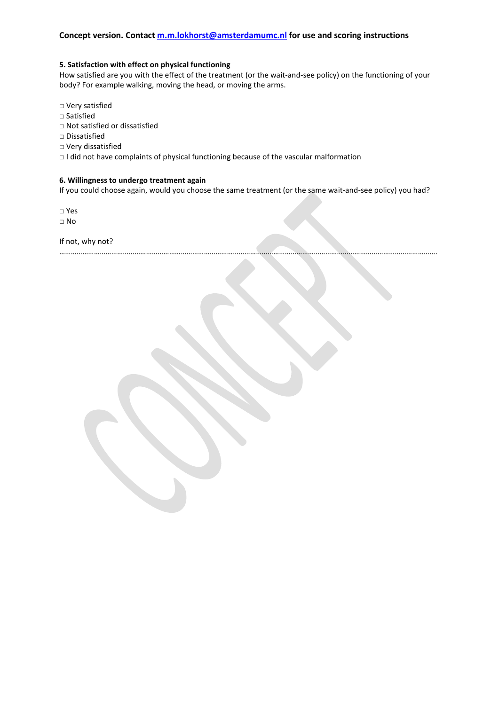### **5. Satisfaction with effect on physical functioning**

How satisfied are you with the effect of the treatment (or the wait-and-see policy) on the functioning of your body? For example walking, moving the head, or moving the arms.

- □ Very satisfied
- □ Satisfied
- □ Not satisfied or dissatisfied
- □ Dissatisfied
- □ Very dissatisfied
- □ I did not have complaints of physical functioning because of the vascular malformation

…………………………………………………………………………………………………………………………………………………………………………….

### **6. Willingness to undergo treatment again**

If you could choose again, would you choose the same treatment (or the same wait-and-see policy) you had?

□ Yes

□ No

If not, why not?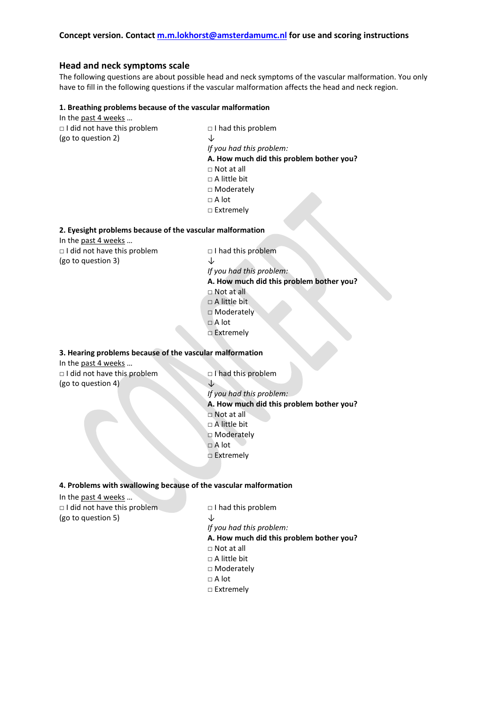## **Head and neck symptoms scale**

The following questions are about possible head and neck symptoms of the vascular malformation. You only have to fill in the following questions if the vascular malformation affects the head and neck region.

#### **1. Breathing problems because of the vascular malformation**

In the past 4 weeks … □ I did not have this problem □ I had this problem (go to question 2)  $\downarrow$ *If you had this problem:* **A. How much did this problem bother you?** □ Not at all □ A little bit □ Moderately □ A lot □ Extremely

#### **2. Eyesight problems because of the vascular malformation**

In the past 4 weeks …

In the past 4 weeks …

□ I did not have this problem □ I had this problem (go to question 3)  $\downarrow$ 

*If you had this problem:* **A. How much did this problem bother you?** □ Not at all □ A little bit □ Moderately □ A lot □ Extremely

## **3. Hearing problems because of the vascular malformation**

□ I did not have this problem □ I had this problem (go to question 4)  $\downarrow$ *If you had this problem:* **A. How much did this problem bother you?** □ Not at all □ A little bit □ Moderately □ A lot □ Extremely

### **4. Problems with swallowing because of the vascular malformation**

| In the past 4 weeks                |                                          |
|------------------------------------|------------------------------------------|
| $\Box$ I did not have this problem | $\Box$ I had this problem                |
| (go to question 5)                 | ↓                                        |
|                                    | If you had this problem:                 |
|                                    | A. How much did this problem bother you? |
|                                    | $\Box$ Not at all                        |
|                                    | $\Box$ A little bit                      |
|                                    | $\Box$ Moderately                        |
|                                    | $\Box$ A lot                             |
|                                    | $\Box$ Extremely                         |